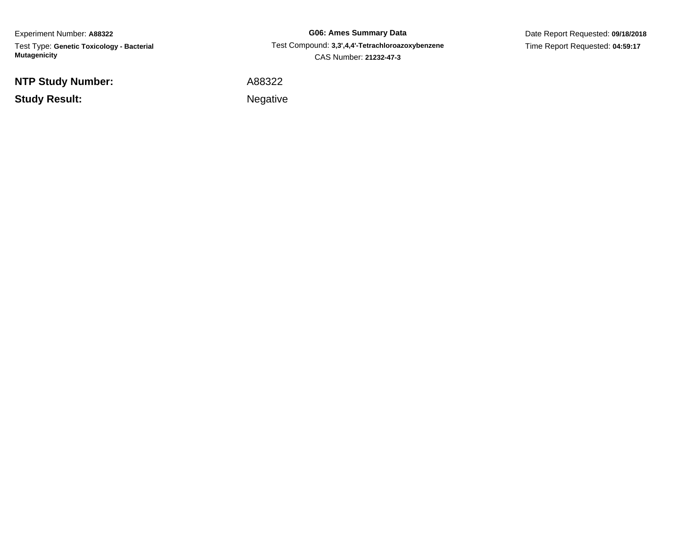Experiment Number: **A88322** Test Type: **Genetic Toxicology - Bacterial Mutagenicity**

**NTP Study Number:**

**Study Result:**

**G06: Ames Summary Data** Test Compound: **3,3',4,4'-Tetrachloroazoxybenzene**CAS Number: **21232-47-3**

Date Report Requested: **09/18/2018**Time Report Requested: **04:59:17**

A88322

Negative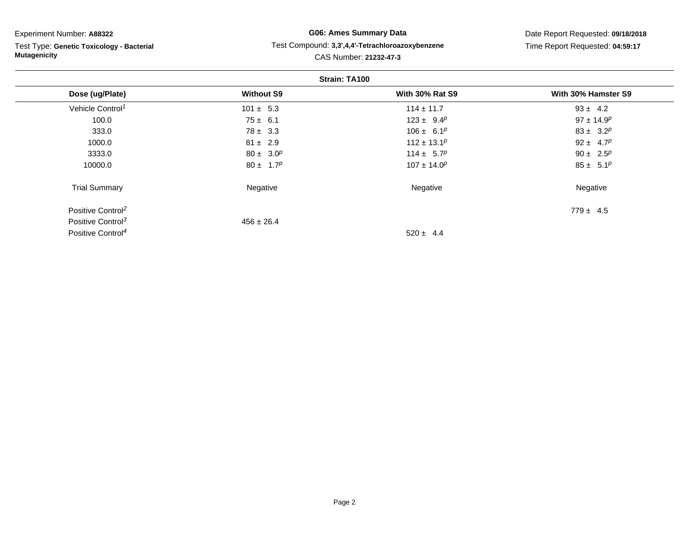### Experiment Number: **A88322**

Test Type: **Genetic Toxicology - Bacterial Mutagenicity**

## **G06: Ames Summary Data** Test Compound: **3,3',4,4'-Tetrachloroazoxybenzene**CAS Number: **21232-47-3**

Date Report Requested: **09/18/2018**Time Report Requested: **04:59:17**

| Strain: TA100                 |                   |                        |                              |  |
|-------------------------------|-------------------|------------------------|------------------------------|--|
| Dose (ug/Plate)               | <b>Without S9</b> | <b>With 30% Rat S9</b> | With 30% Hamster S9          |  |
| Vehicle Control <sup>1</sup>  | $101 \pm 5.3$     | $114 \pm 11.7$         | $93 \pm 4.2$                 |  |
| 100.0                         | $75 \pm 6.1$      | $123 \pm 9.4^p$        | $97 \pm 14.9^p$              |  |
| 333.0                         | $78 \pm 3.3$      | $106 \pm 6.1^p$        | $83 \pm 3.2^p$               |  |
| 1000.0                        | $81 \pm 2.9$      | $112 \pm 13.1^p$       | 92 ± 4.7 <sup><i>p</i></sup> |  |
| 3333.0                        | $80 \pm 3.0^p$    | $114 \pm 5.7^p$        | 90 ± 2.5 <sup><i>p</i></sup> |  |
| 10000.0                       | $80 \pm 1.7^p$    | $107 \pm 14.0^p$       | $85 \pm 5.1^p$               |  |
| <b>Trial Summary</b>          | Negative          | Negative               | Negative                     |  |
| Positive Control <sup>2</sup> |                   |                        | $779 \pm 4.5$                |  |
| Positive Control <sup>3</sup> | $456 \pm 26.4$    |                        |                              |  |
| Positive Control <sup>4</sup> |                   | $520 \pm 4.4$          |                              |  |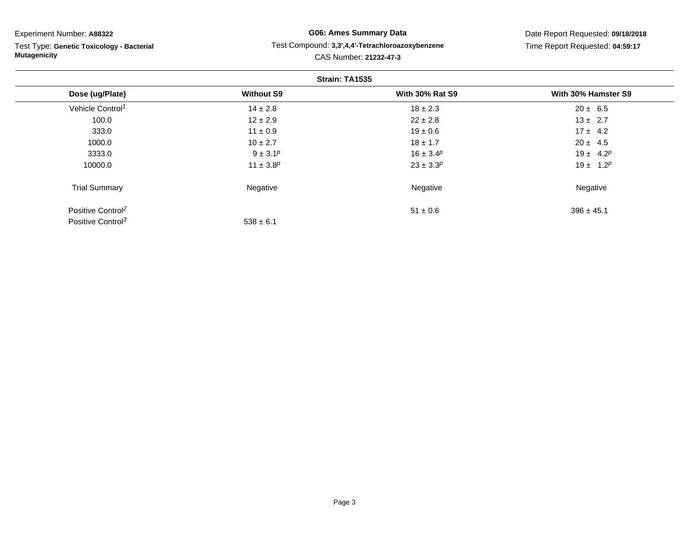Experiment Number: **A88322**

Test Type: **Genetic Toxicology - Bacterial Mutagenicity**

## **G06: Ames Summary Data** Test Compound: **3,3',4,4'-Tetrachloroazoxybenzene**CAS Number: **21232-47-3**

Date Report Requested: **09/18/2018**Time Report Requested: **04:59:17**

|                               |                   | Strain: TA1535         |                     |
|-------------------------------|-------------------|------------------------|---------------------|
| Dose (ug/Plate)               | <b>Without S9</b> | <b>With 30% Rat S9</b> | With 30% Hamster S9 |
| Vehicle Control <sup>1</sup>  | $14 \pm 2.8$      | $18 \pm 2.3$           | $20 \pm 6.5$        |
| 100.0                         | $12 \pm 2.9$      | $22 \pm 2.8$           | $13 \pm 2.7$        |
| 333.0                         | $11 \pm 0.9$      | $19 \pm 0.6$           | $17 \pm 4.2$        |
| 1000.0                        | $10 \pm 2.7$      | $18 \pm 1.7$           | $20 \pm 4.5$        |
| 3333.0                        | $9 \pm 3.1^p$     | $16 \pm 3.4^p$         | $19 \pm 4.2^p$      |
| 10000.0                       | $11 \pm 3.8^p$    | $23 \pm 3.3^p$         | $19 \pm 1.2^p$      |
| <b>Trial Summary</b>          | Negative          | Negative               | Negative            |
| Positive Control <sup>2</sup> |                   | $51 \pm 0.6$           | $396 \pm 45.1$      |
| Positive Control <sup>3</sup> | $538 \pm 6.1$     |                        |                     |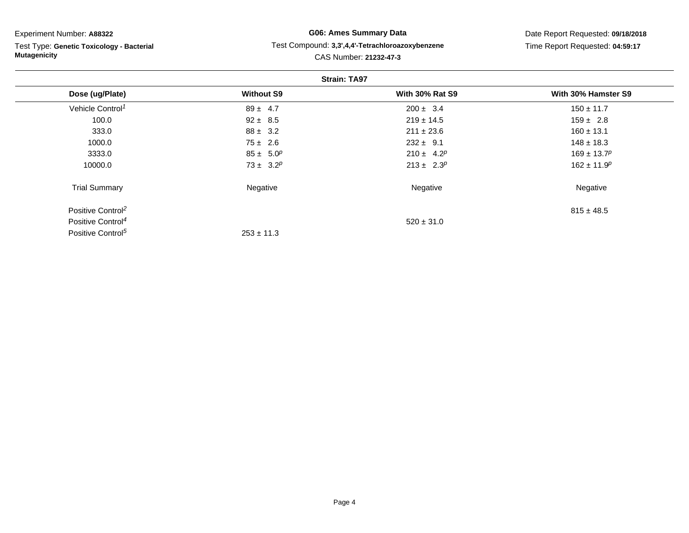### Experiment Number: **A88322**

Test Type: **Genetic Toxicology - Bacterial Mutagenicity**

## **G06: Ames Summary Data** Test Compound: **3,3',4,4'-Tetrachloroazoxybenzene**CAS Number: **21232-47-3**

Date Report Requested: **09/18/2018**Time Report Requested: **04:59:17**

|                               |                   | <b>Strain: TA97</b>    |                     |
|-------------------------------|-------------------|------------------------|---------------------|
| Dose (ug/Plate)               | <b>Without S9</b> | <b>With 30% Rat S9</b> | With 30% Hamster S9 |
| Vehicle Control <sup>1</sup>  | $89 \pm 4.7$      | $200 \pm 3.4$          | $150 \pm 11.7$      |
| 100.0                         | $92 \pm 8.5$      | $219 \pm 14.5$         | $159 \pm 2.8$       |
| 333.0                         | $88 \pm 3.2$      | $211 \pm 23.6$         | $160 \pm 13.1$      |
| 1000.0                        | $75 \pm 2.6$      | $232 \pm 9.1$          | $148 \pm 18.3$      |
| 3333.0                        | $85 \pm 5.0^p$    | $210 \pm 4.2^p$        | $169 \pm 13.7^p$    |
| 10000.0                       | $73 \pm 3.2^p$    | $213 \pm 2.3^p$        | $162 \pm 11.9^p$    |
| <b>Trial Summary</b>          | Negative          | Negative               | Negative            |
| Positive Control <sup>2</sup> |                   |                        | $815 \pm 48.5$      |
| Positive Control <sup>4</sup> |                   | $520 \pm 31.0$         |                     |
| Positive Control <sup>5</sup> | $253 \pm 11.3$    |                        |                     |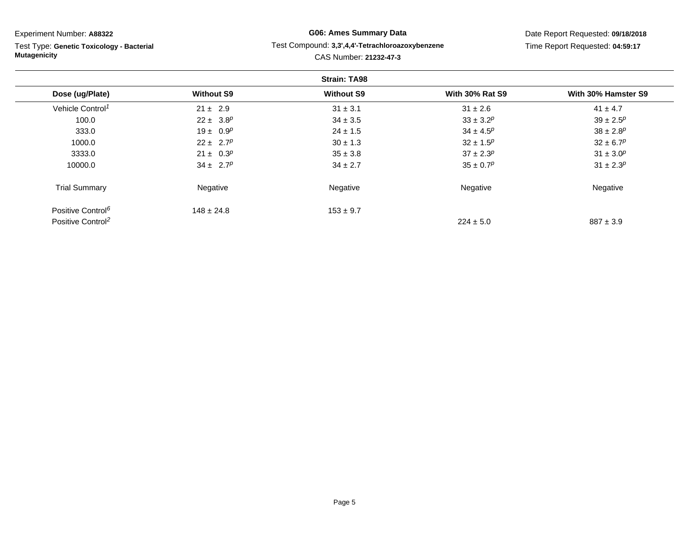| Experiment Number: A88322                                        |                   | <b>G06: Ames Summary Data</b>                    | Date Report Requested: 09/18/2018 |                           |  |  |  |  |
|------------------------------------------------------------------|-------------------|--------------------------------------------------|-----------------------------------|---------------------------|--|--|--|--|
| Test Type: Genetic Toxicology - Bacterial<br><b>Mutagenicity</b> |                   | Test Compound: 3,3',4,4'-Tetrachloroazoxybenzene | Time Report Requested: 04:59:17   |                           |  |  |  |  |
|                                                                  |                   | CAS Number: 21232-47-3                           |                                   |                           |  |  |  |  |
| <b>Strain: TA98</b>                                              |                   |                                                  |                                   |                           |  |  |  |  |
| Dose (ug/Plate)                                                  | <b>Without S9</b> | <b>Without S9</b>                                | <b>With 30% Rat S9</b>            | With 30% Hamster S9       |  |  |  |  |
| Vehicle Control <sup>1</sup>                                     | $21 \pm 2.9$      | $31 \pm 3.1$                                     | $31 \pm 2.6$                      | $41 \pm 4.7$              |  |  |  |  |
| 100.0                                                            | $22 \pm 3.8^p$    | $34 \pm 3.5$                                     | $33 \pm 3.2^p$                    | $39 \pm 2.5^p$            |  |  |  |  |
| 333.0                                                            | $19 \pm 0.9^p$    | $24 \pm 1.5$                                     | $34 \pm 4.5^p$                    | $38 \pm 2.8$ <sup>p</sup> |  |  |  |  |
| 1000.0                                                           | $22 \pm 2.7^p$    | $30 \pm 1.3$                                     | $32 \pm 1.5^p$                    | $32 \pm 6.7^p$            |  |  |  |  |
| 3333.0                                                           | $21 \pm 0.3^p$    | $35 \pm 3.8$                                     | $37 \pm 2.3^p$                    | $31 \pm 3.0^p$            |  |  |  |  |
| 10000.0                                                          | $34 \pm 2.7^p$    | $34 \pm 2.7$                                     | $35 \pm 0.7^p$                    | $31 \pm 2.3^p$            |  |  |  |  |
| <b>Trial Summary</b>                                             | Negative          | Negative                                         | Negative                          | Negative                  |  |  |  |  |
| Positive Control <sup>6</sup>                                    | $148 \pm 24.8$    | $153 \pm 9.7$                                    |                                   |                           |  |  |  |  |
| Positive Control <sup>2</sup>                                    |                   |                                                  | $224 \pm 5.0$                     | $887 \pm 3.9$             |  |  |  |  |